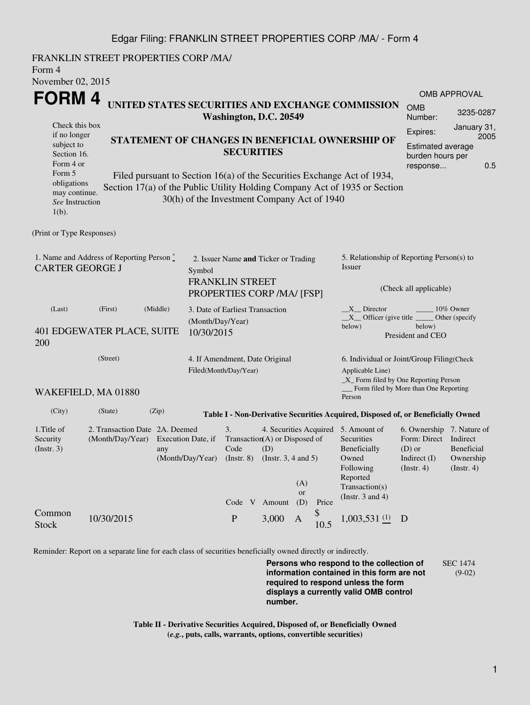## Edgar Filing: FRANKLIN STREET PROPERTIES CORP /MA/ - Form 4

FRANKLIN STREET PROPERTIES CORP /MA/ Form 4 November 02, 2015

| 110100104.20                                                                         |                                                                                                                       |                                                      |                  |                                                                                                                                                                               |  |                                                                                                                         |                                                                                                         |                                                                                                                                                       |                                         |             |           |  |
|--------------------------------------------------------------------------------------|-----------------------------------------------------------------------------------------------------------------------|------------------------------------------------------|------------------|-------------------------------------------------------------------------------------------------------------------------------------------------------------------------------|--|-------------------------------------------------------------------------------------------------------------------------|---------------------------------------------------------------------------------------------------------|-------------------------------------------------------------------------------------------------------------------------------------------------------|-----------------------------------------|-------------|-----------|--|
| FORM 4<br>UNITED STATES SECURITIES AND EXCHANGE COMMISSION<br>Washington, D.C. 20549 |                                                                                                                       |                                                      |                  |                                                                                                                                                                               |  |                                                                                                                         |                                                                                                         |                                                                                                                                                       | OMB APPROVAL                            |             |           |  |
|                                                                                      |                                                                                                                       |                                                      |                  |                                                                                                                                                                               |  |                                                                                                                         |                                                                                                         |                                                                                                                                                       | <b>OMB</b><br>Number:                   |             | 3235-0287 |  |
| subject to<br>Form 4 or                                                              | Check this box<br>if no longer<br>STATEMENT OF CHANGES IN BENEFICIAL OWNERSHIP OF<br><b>SECURITIES</b><br>Section 16. |                                                      |                  |                                                                                                                                                                               |  |                                                                                                                         |                                                                                                         | January 31,<br>Expires:<br>Estimated average<br>burden hours per<br>response                                                                          |                                         | 2005<br>0.5 |           |  |
| Form 5<br>obligations<br>may continue.<br>See Instruction<br>$1(b)$ .                |                                                                                                                       |                                                      |                  | 30(h) of the Investment Company Act of 1940                                                                                                                                   |  |                                                                                                                         |                                                                                                         | Filed pursuant to Section 16(a) of the Securities Exchange Act of 1934,<br>Section 17(a) of the Public Utility Holding Company Act of 1935 or Section |                                         |             |           |  |
| (Print or Type Responses)                                                            |                                                                                                                       |                                                      |                  |                                                                                                                                                                               |  |                                                                                                                         |                                                                                                         |                                                                                                                                                       |                                         |             |           |  |
| 1. Name and Address of Reporting Person*<br><b>CARTER GEORGE J</b>                   | 2. Issuer Name and Ticker or Trading<br>Symbol                                                                        |                                                      |                  |                                                                                                                                                                               |  | 5. Relationship of Reporting Person(s) to<br>Issuer                                                                     |                                                                                                         |                                                                                                                                                       |                                         |             |           |  |
|                                                                                      |                                                                                                                       | <b>FRANKLIN STREET</b><br>PROPERTIES CORP /MA/ [FSP] |                  |                                                                                                                                                                               |  |                                                                                                                         | (Check all applicable)                                                                                  |                                                                                                                                                       |                                         |             |           |  |
| (Last)<br>401 EDGEWATER PLACE, SUITE<br>200                                          | 3. Date of Earliest Transaction<br>(Month/Day/Year)<br>10/30/2015                                                     |                                                      |                  |                                                                                                                                                                               |  | X Director<br>10% Owner<br>$X_{\text{}}$ Officer (give title<br>Other (specify<br>below)<br>below)<br>President and CEO |                                                                                                         |                                                                                                                                                       |                                         |             |           |  |
|                                                                                      | (Street)<br>4. If Amendment, Date Original<br>Filed(Month/Day/Year)                                                   |                                                      |                  |                                                                                                                                                                               |  |                                                                                                                         | 6. Individual or Joint/Group Filing(Check<br>Applicable Line)<br>$X$ Form filed by One Reporting Person |                                                                                                                                                       |                                         |             |           |  |
|                                                                                      | WAKEFIELD, MA 01880                                                                                                   |                                                      |                  |                                                                                                                                                                               |  |                                                                                                                         |                                                                                                         | Person                                                                                                                                                | _ Form filed by More than One Reporting |             |           |  |
| (City)                                                                               | (State)                                                                                                               | (Zip)                                                |                  |                                                                                                                                                                               |  |                                                                                                                         |                                                                                                         | Table I - Non-Derivative Securities Acquired, Disposed of, or Beneficially Owned                                                                      |                                         |             |           |  |
| 1.Title of<br>Security<br>$($ Instr. 3 $)$                                           | 2. Transaction Date 2A. Deemed<br>(Month/Day/Year)<br>Execution Date, if<br>any                                       |                                                      | (Month/Day/Year) | 4. Securities Acquired 5. Amount of<br>3.<br>Transaction(A) or Disposed of<br>Code<br>(D)<br>(Instr. $3, 4$ and $5$ )<br>$($ Instr. $8)$<br>(A)<br>or<br>Code V Amount<br>(D) |  | Price                                                                                                                   | Securities<br>Beneficially<br>Owned<br>Following<br>Reported<br>Transaction(s)<br>(Instr. $3$ and $4$ ) | 6. Ownership 7. Nature of<br>Form: Direct Indirect<br>$(D)$ or<br>Indirect $(I)$<br>$($ Instr. 4 $)$                                                  | Beneficial<br>Ownership<br>(Insert. 4)  |             |           |  |

Reminder: Report on a separate line for each class of securities beneficially owned directly or indirectly.

Stock 10/30/2015 P 3,000 A

Common

**Persons who respond to the collection of information contained in this form are not required to respond unless the form displays a currently valid OMB control number.** SEC 1474 (9-02)

 $_{10.5}^{\$}$  1,003,531  $_{(1)}^{(1)}$  D

**Table II - Derivative Securities Acquired, Disposed of, or Beneficially Owned (***e.g.***, puts, calls, warrants, options, convertible securities)**